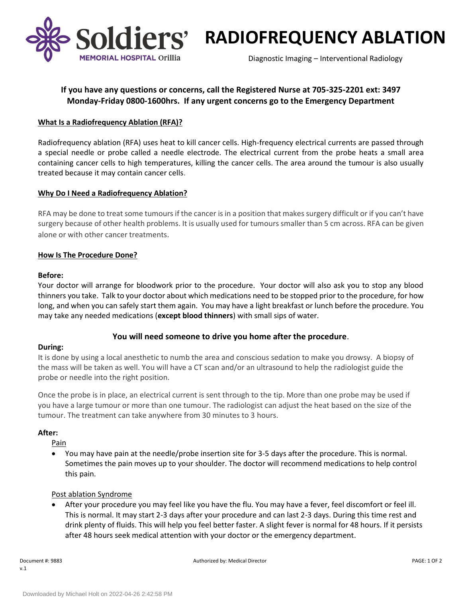

**Soldiers' RADIOFREQUENCY ABLATION** 

Diagnostic Imaging – Interventional Radiology

# **If you have any questions or concerns, call the Registered Nurse at 705-325-2201 ext: 3497 Monday-Friday 0800-1600hrs. If any urgent concerns go to the Emergency Department**

# **What Is a Radiofrequency Ablation (RFA)?**

Radiofrequency ablation (RFA) uses heat to kill cancer cells. High-frequency electrical currents are passed through a special needle or probe called a needle electrode. The electrical current from the probe heats a small area containing cancer cells to high temperatures, killing the cancer cells. The area around the tumour is also usually treated because it may contain cancer cells.

### **Why Do I Need a Radiofrequency Ablation?**

RFA may be done to treat some tumours if the cancer is in a position that makes surgery difficult or if you can't have surgery because of other health problems. It is usually used for tumours smaller than 5 cm across. RFA can be given alone or with other cancer treatments.

### **How Is The Procedure Done?**

### **Before:**

Your doctor will arrange for bloodwork prior to the procedure. Your doctor will also ask you to stop any blood thinners you take. Talk to your doctor about which medications need to be stopped prior to the procedure, for how long, and when you can safely start them again. You may have a light breakfast or lunch before the procedure. You may take any needed medications (**except blood thinners**) with small sips of water.

# **You will need someone to drive you home after the procedure**.

# **During:**

It is done by using a local anesthetic to numb the area and conscious sedation to make you drowsy. A biopsy of the mass will be taken as well. You will have a CT scan and/or an ultrasound to help the radiologist guide the probe or needle into the right position.

Once the probe is in place, an electrical current is sent through to the tip. More than one probe may be used if you have a large tumour or more than one tumour. The radiologist can adjust the heat based on the size of the tumour. The treatment can take anywhere from 30 minutes to 3 hours.

#### **After:**

Pain

 You may have pain at the needle/probe insertion site for 3-5 days after the procedure. This is normal. Sometimes the pain moves up to your shoulder. The doctor will recommend medications to help control this pain.

# Post ablation Syndrome

 After your procedure you may feel like you have the flu. You may have a fever, feel discomfort or feel ill. This is normal. It may start 2-3 days after your procedure and can last 2-3 days. During this time rest and drink plenty of fluids. This will help you feel better faster. A slight fever is normal for 48 hours. If it persists after 48 hours seek medical attention with your doctor or the emergency department.